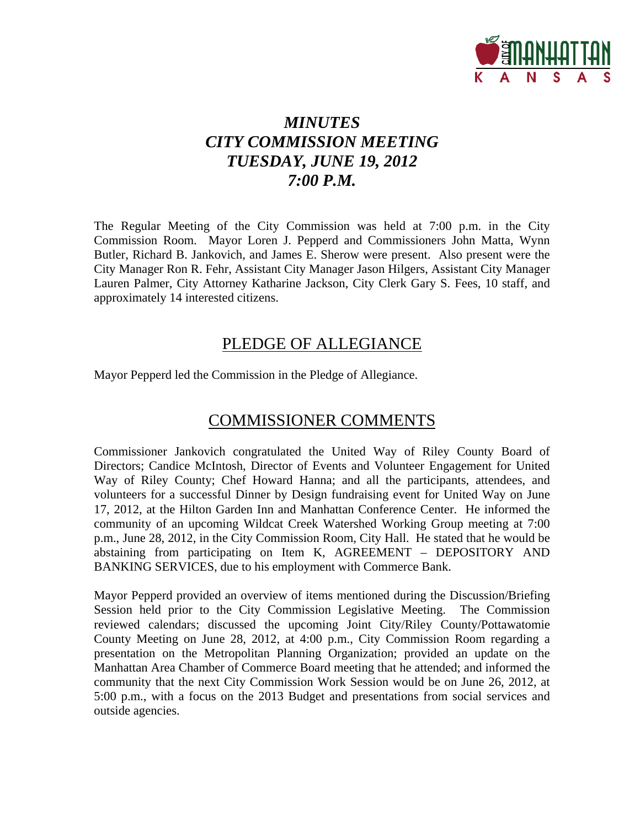

## *MINUTES CITY COMMISSION MEETING TUESDAY, JUNE 19, 2012 7:00 P.M.*

The Regular Meeting of the City Commission was held at 7:00 p.m. in the City Commission Room. Mayor Loren J. Pepperd and Commissioners John Matta, Wynn Butler, Richard B. Jankovich, and James E. Sherow were present. Also present were the City Manager Ron R. Fehr, Assistant City Manager Jason Hilgers, Assistant City Manager Lauren Palmer, City Attorney Katharine Jackson, City Clerk Gary S. Fees, 10 staff, and approximately 14 interested citizens.

## PLEDGE OF ALLEGIANCE

Mayor Pepperd led the Commission in the Pledge of Allegiance.

## COMMISSIONER COMMENTS

Commissioner Jankovich congratulated the United Way of Riley County Board of Directors; Candice McIntosh, Director of Events and Volunteer Engagement for United Way of Riley County; Chef Howard Hanna; and all the participants, attendees, and volunteers for a successful Dinner by Design fundraising event for United Way on June 17, 2012, at the Hilton Garden Inn and Manhattan Conference Center. He informed the community of an upcoming Wildcat Creek Watershed Working Group meeting at 7:00 p.m., June 28, 2012, in the City Commission Room, City Hall. He stated that he would be abstaining from participating on Item K, AGREEMENT – DEPOSITORY AND BANKING SERVICES, due to his employment with Commerce Bank.

Mayor Pepperd provided an overview of items mentioned during the Discussion/Briefing Session held prior to the City Commission Legislative Meeting. The Commission reviewed calendars; discussed the upcoming Joint City/Riley County/Pottawatomie County Meeting on June 28, 2012, at 4:00 p.m., City Commission Room regarding a presentation on the Metropolitan Planning Organization; provided an update on the Manhattan Area Chamber of Commerce Board meeting that he attended; and informed the community that the next City Commission Work Session would be on June 26, 2012, at 5:00 p.m., with a focus on the 2013 Budget and presentations from social services and outside agencies.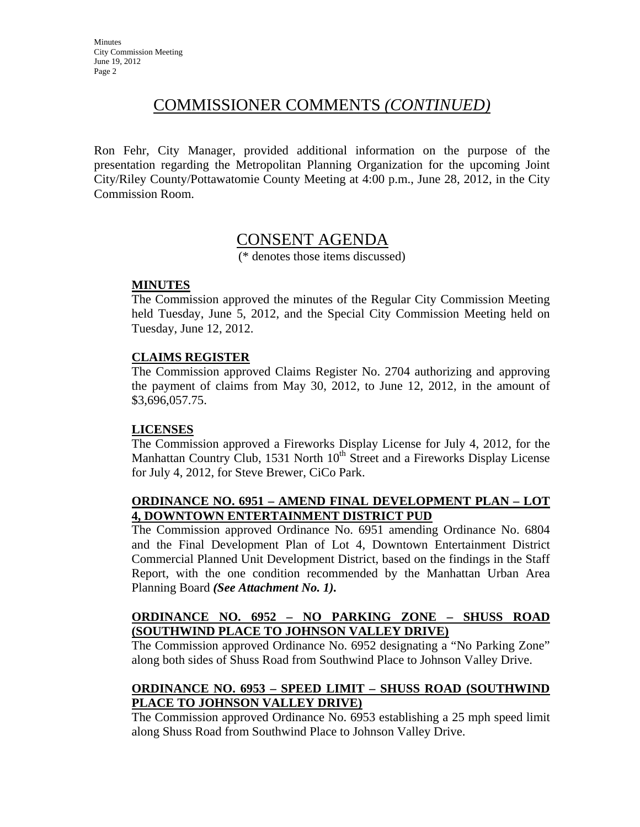## COMMISSIONER COMMENTS *(CONTINUED)*

Ron Fehr, City Manager, provided additional information on the purpose of the presentation regarding the Metropolitan Planning Organization for the upcoming Joint City/Riley County/Pottawatomie County Meeting at 4:00 p.m., June 28, 2012, in the City Commission Room.

## CONSENT AGENDA

(\* denotes those items discussed)

### **MINUTES**

The Commission approved the minutes of the Regular City Commission Meeting held Tuesday, June 5, 2012, and the Special City Commission Meeting held on Tuesday, June 12, 2012.

### **CLAIMS REGISTER**

The Commission approved Claims Register No. 2704 authorizing and approving the payment of claims from May 30, 2012, to June 12, 2012, in the amount of \$3,696,057.75.

### **LICENSES**

The Commission approved a Fireworks Display License for July 4, 2012, for the Manhattan Country Club, 1531 North 10<sup>th</sup> Street and a Fireworks Display License for July 4, 2012, for Steve Brewer, CiCo Park.

### **ORDINANCE NO. 6951 – AMEND FINAL DEVELOPMENT PLAN – LOT 4, DOWNTOWN ENTERTAINMENT DISTRICT PUD**

The Commission approved Ordinance No. 6951 amending Ordinance No. 6804 and the Final Development Plan of Lot 4, Downtown Entertainment District Commercial Planned Unit Development District, based on the findings in the Staff Report, with the one condition recommended by the Manhattan Urban Area Planning Board *(See Attachment No. 1).*

### **ORDINANCE NO. 6952 – NO PARKING ZONE – SHUSS ROAD (SOUTHWIND PLACE TO JOHNSON VALLEY DRIVE)**

The Commission approved Ordinance No. 6952 designating a "No Parking Zone" along both sides of Shuss Road from Southwind Place to Johnson Valley Drive.

### **ORDINANCE NO. 6953 – SPEED LIMIT – SHUSS ROAD (SOUTHWIND PLACE TO JOHNSON VALLEY DRIVE)**

The Commission approved Ordinance No. 6953 establishing a 25 mph speed limit along Shuss Road from Southwind Place to Johnson Valley Drive.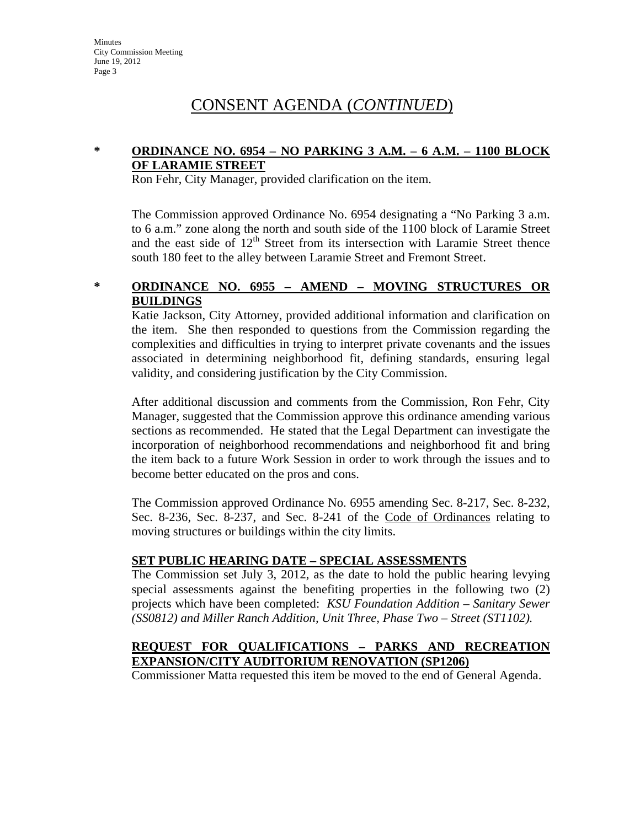### **\* ORDINANCE NO. 6954 – NO PARKING 3 A.M. – 6 A.M. – 1100 BLOCK OF LARAMIE STREET**

Ron Fehr, City Manager, provided clarification on the item.

The Commission approved Ordinance No. 6954 designating a "No Parking 3 a.m. to 6 a.m." zone along the north and south side of the 1100 block of Laramie Street and the east side of  $12<sup>th</sup>$  Street from its intersection with Laramie Street thence south 180 feet to the alley between Laramie Street and Fremont Street.

### **\* ORDINANCE NO. 6955 – AMEND – MOVING STRUCTURES OR BUILDINGS**

Katie Jackson, City Attorney, provided additional information and clarification on the item. She then responded to questions from the Commission regarding the complexities and difficulties in trying to interpret private covenants and the issues associated in determining neighborhood fit, defining standards, ensuring legal validity, and considering justification by the City Commission.

After additional discussion and comments from the Commission, Ron Fehr, City Manager, suggested that the Commission approve this ordinance amending various sections as recommended. He stated that the Legal Department can investigate the incorporation of neighborhood recommendations and neighborhood fit and bring the item back to a future Work Session in order to work through the issues and to become better educated on the pros and cons.

The Commission approved Ordinance No. 6955 amending Sec. 8-217, Sec. 8-232, Sec. 8-236, Sec. 8-237, and Sec. 8-241 of the Code of Ordinances relating to moving structures or buildings within the city limits.

### **SET PUBLIC HEARING DATE – SPECIAL ASSESSMENTS**

The Commission set July 3, 2012, as the date to hold the public hearing levying special assessments against the benefiting properties in the following two (2) projects which have been completed: *KSU Foundation Addition – Sanitary Sewer (SS0812) and Miller Ranch Addition, Unit Three, Phase Two – Street (ST1102).*

### **REQUEST FOR QUALIFICATIONS – PARKS AND RECREATION EXPANSION/CITY AUDITORIUM RENOVATION (SP1206)**

Commissioner Matta requested this item be moved to the end of General Agenda.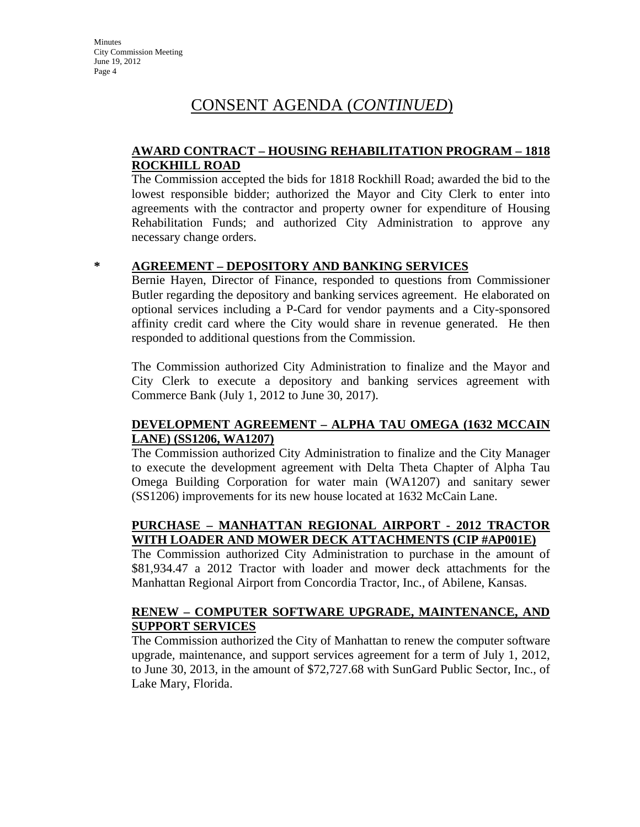### **AWARD CONTRACT – HOUSING REHABILITATION PROGRAM – 1818 ROCKHILL ROAD**

The Commission accepted the bids for 1818 Rockhill Road; awarded the bid to the lowest responsible bidder; authorized the Mayor and City Clerk to enter into agreements with the contractor and property owner for expenditure of Housing Rehabilitation Funds; and authorized City Administration to approve any necessary change orders.

### **\* AGREEMENT – DEPOSITORY AND BANKING SERVICES**

Bernie Hayen, Director of Finance, responded to questions from Commissioner Butler regarding the depository and banking services agreement. He elaborated on optional services including a P-Card for vendor payments and a City-sponsored affinity credit card where the City would share in revenue generated. He then responded to additional questions from the Commission.

The Commission authorized City Administration to finalize and the Mayor and City Clerk to execute a depository and banking services agreement with Commerce Bank (July 1, 2012 to June 30, 2017).

### **DEVELOPMENT AGREEMENT – ALPHA TAU OMEGA (1632 MCCAIN LANE) (SS1206, WA1207)**

The Commission authorized City Administration to finalize and the City Manager to execute the development agreement with Delta Theta Chapter of Alpha Tau Omega Building Corporation for water main (WA1207) and sanitary sewer (SS1206) improvements for its new house located at 1632 McCain Lane.

### **PURCHASE – MANHATTAN REGIONAL AIRPORT - 2012 TRACTOR WITH LOADER AND MOWER DECK ATTACHMENTS (CIP #AP001E)**

The Commission authorized City Administration to purchase in the amount of \$81,934.47 a 2012 Tractor with loader and mower deck attachments for the Manhattan Regional Airport from Concordia Tractor, Inc., of Abilene, Kansas.

### **RENEW – COMPUTER SOFTWARE UPGRADE, MAINTENANCE, AND SUPPORT SERVICES**

The Commission authorized the City of Manhattan to renew the computer software upgrade, maintenance, and support services agreement for a term of July 1, 2012, to June 30, 2013, in the amount of \$72,727.68 with SunGard Public Sector, Inc., of Lake Mary, Florida.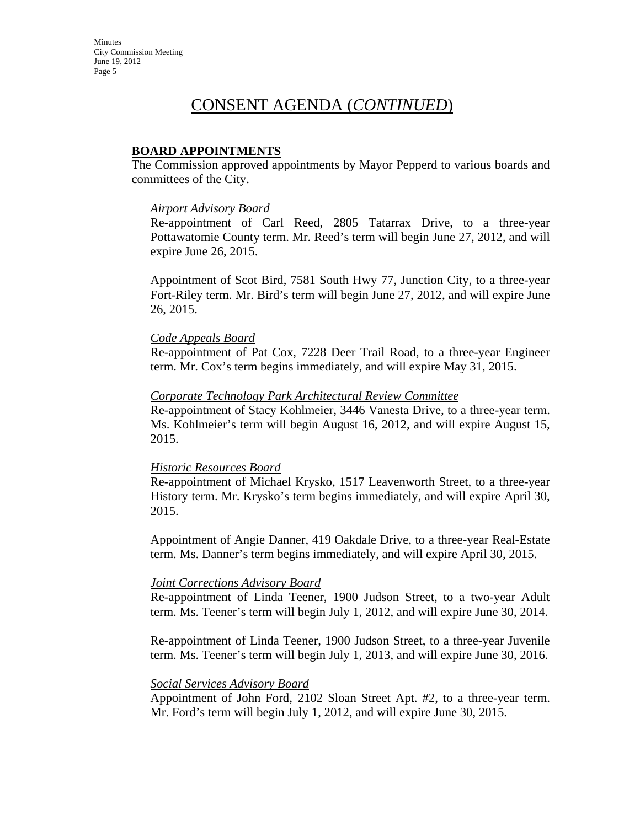### **BOARD APPOINTMENTS**

The Commission approved appointments by Mayor Pepperd to various boards and committees of the City.

#### *Airport Advisory Board*

Re-appointment of Carl Reed, 2805 Tatarrax Drive, to a three-year Pottawatomie County term. Mr. Reed's term will begin June 27, 2012, and will expire June 26, 2015.

Appointment of Scot Bird, 7581 South Hwy 77, Junction City, to a three-year Fort-Riley term. Mr. Bird's term will begin June 27, 2012, and will expire June 26, 2015.

#### *Code Appeals Board*

Re-appointment of Pat Cox, 7228 Deer Trail Road, to a three-year Engineer term. Mr. Cox's term begins immediately, and will expire May 31, 2015.

#### *Corporate Technology Park Architectural Review Committee*

Re-appointment of Stacy Kohlmeier, 3446 Vanesta Drive, to a three-year term. Ms. Kohlmeier's term will begin August 16, 2012, and will expire August 15, 2015.

### *Historic Resources Board*

Re-appointment of Michael Krysko, 1517 Leavenworth Street, to a three-year History term. Mr. Krysko's term begins immediately, and will expire April 30, 2015.

Appointment of Angie Danner, 419 Oakdale Drive, to a three-year Real-Estate term. Ms. Danner's term begins immediately, and will expire April 30, 2015.

### *Joint Corrections Advisory Board*

Re-appointment of Linda Teener, 1900 Judson Street, to a two-year Adult term. Ms. Teener's term will begin July 1, 2012, and will expire June 30, 2014.

Re-appointment of Linda Teener, 1900 Judson Street, to a three-year Juvenile term. Ms. Teener's term will begin July 1, 2013, and will expire June 30, 2016.

### *Social Services Advisory Board*

Appointment of John Ford, 2102 Sloan Street Apt. #2, to a three-year term. Mr. Ford's term will begin July 1, 2012, and will expire June 30, 2015.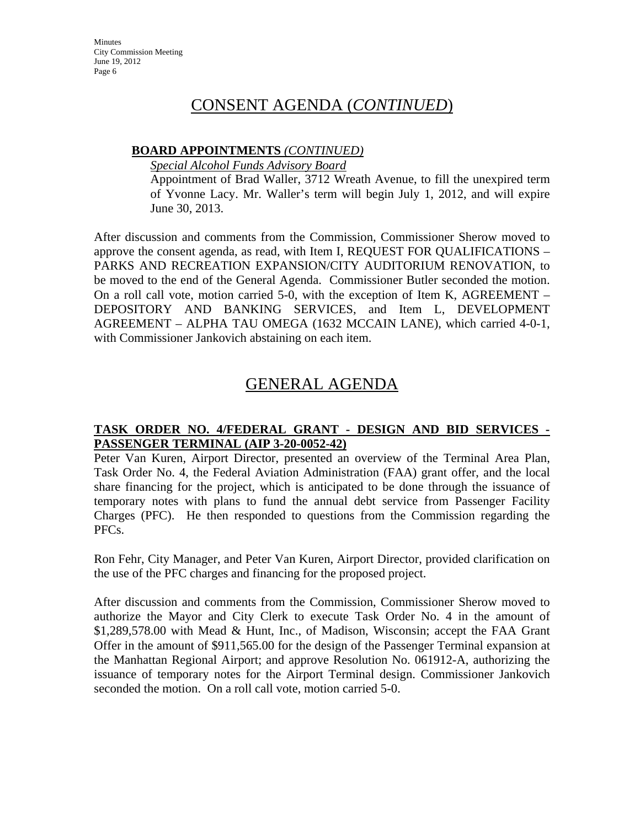### **BOARD APPOINTMENTS** *(CONTINUED)*

*Special Alcohol Funds Advisory Board*

Appointment of Brad Waller, 3712 Wreath Avenue, to fill the unexpired term of Yvonne Lacy. Mr. Waller's term will begin July 1, 2012, and will expire June 30, 2013.

After discussion and comments from the Commission, Commissioner Sherow moved to approve the consent agenda, as read, with Item I, REQUEST FOR QUALIFICATIONS – PARKS AND RECREATION EXPANSION/CITY AUDITORIUM RENOVATION, to be moved to the end of the General Agenda. Commissioner Butler seconded the motion. On a roll call vote, motion carried 5-0, with the exception of Item K, AGREEMENT – DEPOSITORY AND BANKING SERVICES, and Item L, DEVELOPMENT AGREEMENT – ALPHA TAU OMEGA (1632 MCCAIN LANE), which carried 4-0-1, with Commissioner Jankovich abstaining on each item.

## GENERAL AGENDA

### **TASK ORDER NO. 4/FEDERAL GRANT - DESIGN AND BID SERVICES - PASSENGER TERMINAL (AIP 3-20-0052-42)**

Peter Van Kuren, Airport Director, presented an overview of the Terminal Area Plan, Task Order No. 4, the Federal Aviation Administration (FAA) grant offer, and the local share financing for the project, which is anticipated to be done through the issuance of temporary notes with plans to fund the annual debt service from Passenger Facility Charges (PFC). He then responded to questions from the Commission regarding the PFCs.

Ron Fehr, City Manager, and Peter Van Kuren, Airport Director, provided clarification on the use of the PFC charges and financing for the proposed project.

After discussion and comments from the Commission, Commissioner Sherow moved to authorize the Mayor and City Clerk to execute Task Order No. 4 in the amount of \$1,289,578.00 with Mead & Hunt, Inc., of Madison, Wisconsin; accept the FAA Grant Offer in the amount of \$911,565.00 for the design of the Passenger Terminal expansion at the Manhattan Regional Airport; and approve Resolution No. 061912-A, authorizing the issuance of temporary notes for the Airport Terminal design. Commissioner Jankovich seconded the motion. On a roll call vote, motion carried 5-0.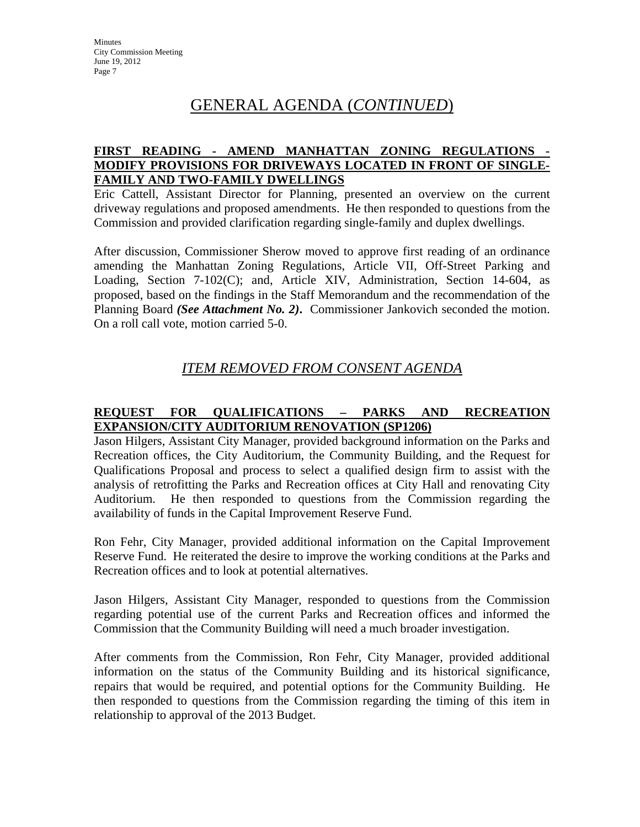## GENERAL AGENDA (*CONTINUED*)

### **FIRST READING - AMEND MANHATTAN ZONING REGULATIONS - MODIFY PROVISIONS FOR DRIVEWAYS LOCATED IN FRONT OF SINGLE-FAMILY AND TWO-FAMILY DWELLINGS**

Eric Cattell, Assistant Director for Planning, presented an overview on the current driveway regulations and proposed amendments. He then responded to questions from the Commission and provided clarification regarding single-family and duplex dwellings.

After discussion, Commissioner Sherow moved to approve first reading of an ordinance amending the Manhattan Zoning Regulations, Article VII, Off-Street Parking and Loading, Section 7-102(C); and, Article XIV, Administration, Section 14-604, as proposed, based on the findings in the Staff Memorandum and the recommendation of the Planning Board *(See Attachment No. 2)***.** Commissioner Jankovich seconded the motion. On a roll call vote, motion carried 5-0.

## *ITEM REMOVED FROM CONSENT AGENDA*

### **REQUEST FOR QUALIFICATIONS – PARKS AND RECREATION EXPANSION/CITY AUDITORIUM RENOVATION (SP1206)**

Jason Hilgers, Assistant City Manager, provided background information on the Parks and Recreation offices, the City Auditorium, the Community Building, and the Request for Qualifications Proposal and process to select a qualified design firm to assist with the analysis of retrofitting the Parks and Recreation offices at City Hall and renovating City Auditorium. He then responded to questions from the Commission regarding the availability of funds in the Capital Improvement Reserve Fund.

Ron Fehr, City Manager, provided additional information on the Capital Improvement Reserve Fund. He reiterated the desire to improve the working conditions at the Parks and Recreation offices and to look at potential alternatives.

Jason Hilgers, Assistant City Manager, responded to questions from the Commission regarding potential use of the current Parks and Recreation offices and informed the Commission that the Community Building will need a much broader investigation.

After comments from the Commission, Ron Fehr, City Manager, provided additional information on the status of the Community Building and its historical significance, repairs that would be required, and potential options for the Community Building. He then responded to questions from the Commission regarding the timing of this item in relationship to approval of the 2013 Budget.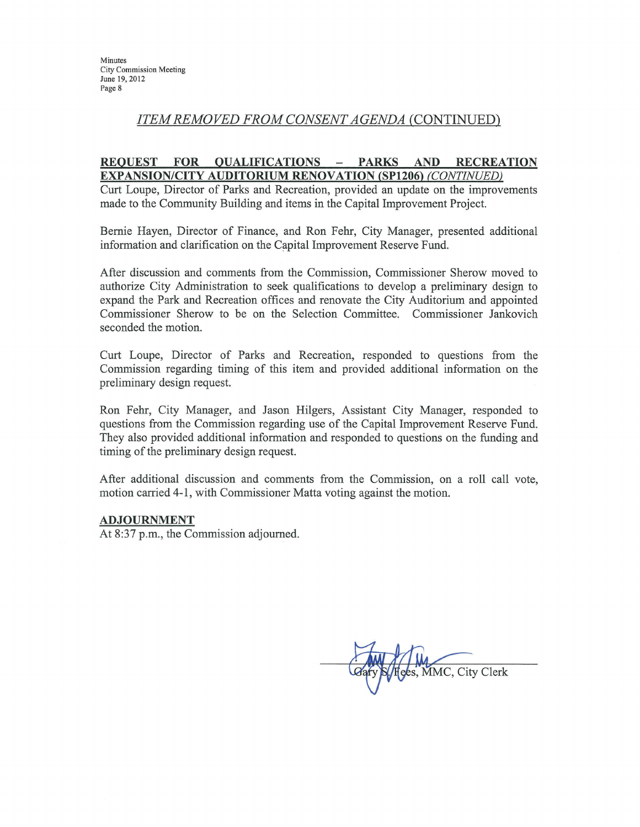### **ITEM REMOVED FROM CONSENT AGENDA (CONTINUED)**

#### **REOUEST QUALIFICATIONS FOR PARKS** AND **RECREATION**  $\sim$ **EXPANSION/CITY AUDITORIUM RENOVATION (SP1206) (CONTINUED)**

Curt Loupe, Director of Parks and Recreation, provided an update on the improvements made to the Community Building and items in the Capital Improvement Project.

Bernie Hayen, Director of Finance, and Ron Fehr, City Manager, presented additional information and clarification on the Capital Improvement Reserve Fund.

After discussion and comments from the Commission, Commissioner Sherow moved to authorize City Administration to seek qualifications to develop a preliminary design to expand the Park and Recreation offices and renovate the City Auditorium and appointed Commissioner Sherow to be on the Selection Committee. Commissioner Jankovich seconded the motion.

Curt Loupe, Director of Parks and Recreation, responded to questions from the Commission regarding timing of this item and provided additional information on the preliminary design request.

Ron Fehr, City Manager, and Jason Hilgers, Assistant City Manager, responded to questions from the Commission regarding use of the Capital Improvement Reserve Fund. They also provided additional information and responded to questions on the funding and timing of the preliminary design request.

After additional discussion and comments from the Commission, on a roll call vote, motion carried 4-1, with Commissioner Matta voting against the motion.

#### **ADJOURNMENT**

At 8:37 p.m., the Commission adjourned.

MMC, City Clerk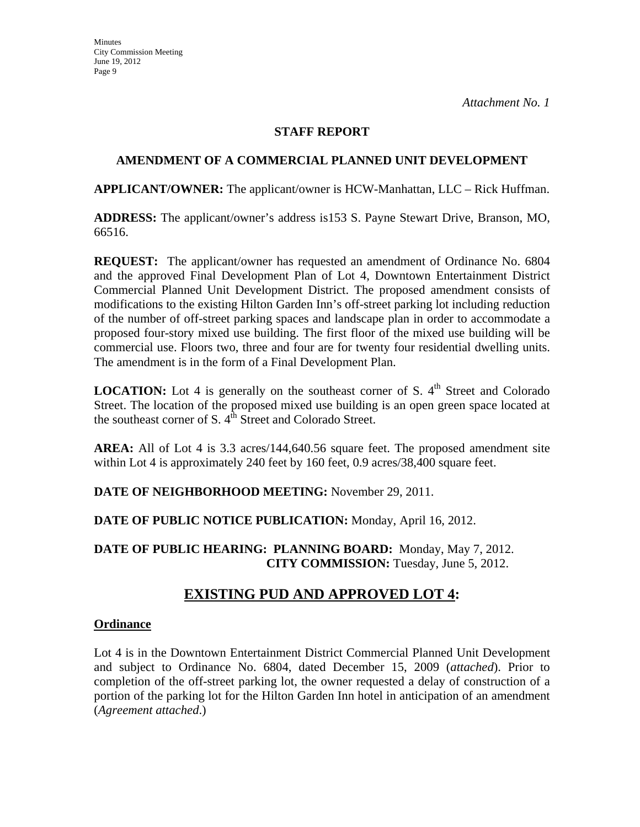### **STAFF REPORT**

### **AMENDMENT OF A COMMERCIAL PLANNED UNIT DEVELOPMENT**

**APPLICANT/OWNER:** The applicant/owner is HCW-Manhattan, LLC – Rick Huffman.

**ADDRESS:** The applicant/owner's address is153 S. Payne Stewart Drive, Branson, MO, 66516.

**REQUEST:** The applicant/owner has requested an amendment of Ordinance No. 6804 and the approved Final Development Plan of Lot 4, Downtown Entertainment District Commercial Planned Unit Development District. The proposed amendment consists of modifications to the existing Hilton Garden Inn's off-street parking lot including reduction of the number of off-street parking spaces and landscape plan in order to accommodate a proposed four-story mixed use building. The first floor of the mixed use building will be commercial use. Floors two, three and four are for twenty four residential dwelling units. The amendment is in the form of a Final Development Plan.

**LOCATION:** Lot 4 is generally on the southeast corner of S.  $4<sup>th</sup>$  Street and Colorado Street. The location of the proposed mixed use building is an open green space located at the southeast corner of S.  $4<sup>th</sup>$  Street and Colorado Street.

**AREA:** All of Lot 4 is 3.3 acres/144,640.56 square feet. The proposed amendment site within Lot 4 is approximately 240 feet by 160 feet, 0.9 acres/38,400 square feet.

**DATE OF NEIGHBORHOOD MEETING:** November 29, 2011.

**DATE OF PUBLIC NOTICE PUBLICATION:** Monday, April 16, 2012.

**DATE OF PUBLIC HEARING: PLANNING BOARD:** Monday, May 7, 2012. **CITY COMMISSION:** Tuesday, June 5, 2012.

## **EXISTING PUD AND APPROVED LOT 4:**

### **Ordinance**

Lot 4 is in the Downtown Entertainment District Commercial Planned Unit Development and subject to Ordinance No. 6804, dated December 15, 2009 (*attached*). Prior to completion of the off-street parking lot, the owner requested a delay of construction of a portion of the parking lot for the Hilton Garden Inn hotel in anticipation of an amendment (*Agreement attached*.)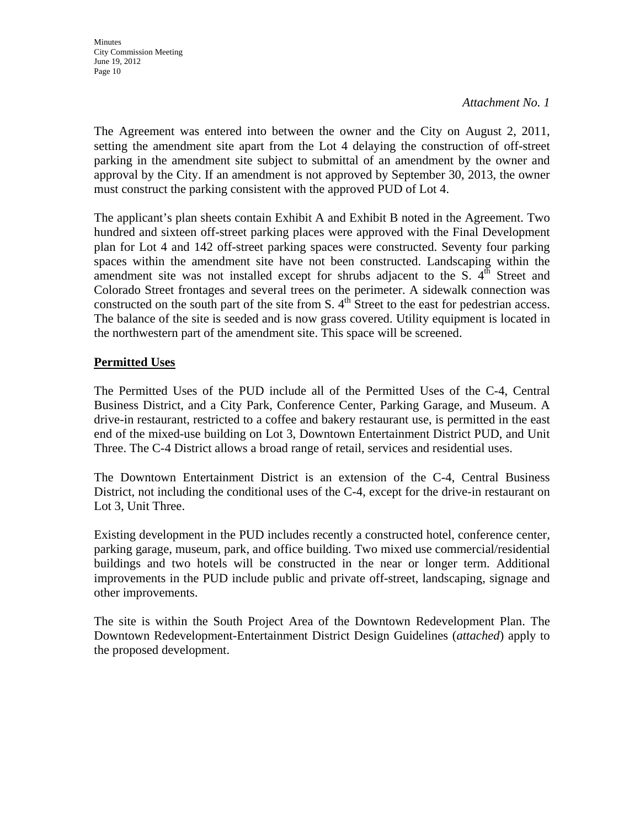The Agreement was entered into between the owner and the City on August 2, 2011, setting the amendment site apart from the Lot 4 delaying the construction of off-street parking in the amendment site subject to submittal of an amendment by the owner and approval by the City. If an amendment is not approved by September 30, 2013, the owner must construct the parking consistent with the approved PUD of Lot 4.

The applicant's plan sheets contain Exhibit A and Exhibit B noted in the Agreement. Two hundred and sixteen off-street parking places were approved with the Final Development plan for Lot 4 and 142 off-street parking spaces were constructed. Seventy four parking spaces within the amendment site have not been constructed. Landscaping within the amendment site was not installed except for shrubs adjacent to the  $S$ .  $4^{th}$  Street and Colorado Street frontages and several trees on the perimeter. A sidewalk connection was constructed on the south part of the site from S.  $4<sup>th</sup>$  Street to the east for pedestrian access. The balance of the site is seeded and is now grass covered. Utility equipment is located in the northwestern part of the amendment site. This space will be screened.

### **Permitted Uses**

The Permitted Uses of the PUD include all of the Permitted Uses of the C-4, Central Business District, and a City Park, Conference Center, Parking Garage, and Museum. A drive-in restaurant, restricted to a coffee and bakery restaurant use, is permitted in the east end of the mixed-use building on Lot 3, Downtown Entertainment District PUD, and Unit Three. The C-4 District allows a broad range of retail, services and residential uses.

The Downtown Entertainment District is an extension of the C-4, Central Business District, not including the conditional uses of the C-4, except for the drive-in restaurant on Lot 3, Unit Three.

Existing development in the PUD includes recently a constructed hotel, conference center, parking garage, museum, park, and office building. Two mixed use commercial/residential buildings and two hotels will be constructed in the near or longer term. Additional improvements in the PUD include public and private off-street, landscaping, signage and other improvements.

The site is within the South Project Area of the Downtown Redevelopment Plan. The Downtown Redevelopment-Entertainment District Design Guidelines (*attached*) apply to the proposed development.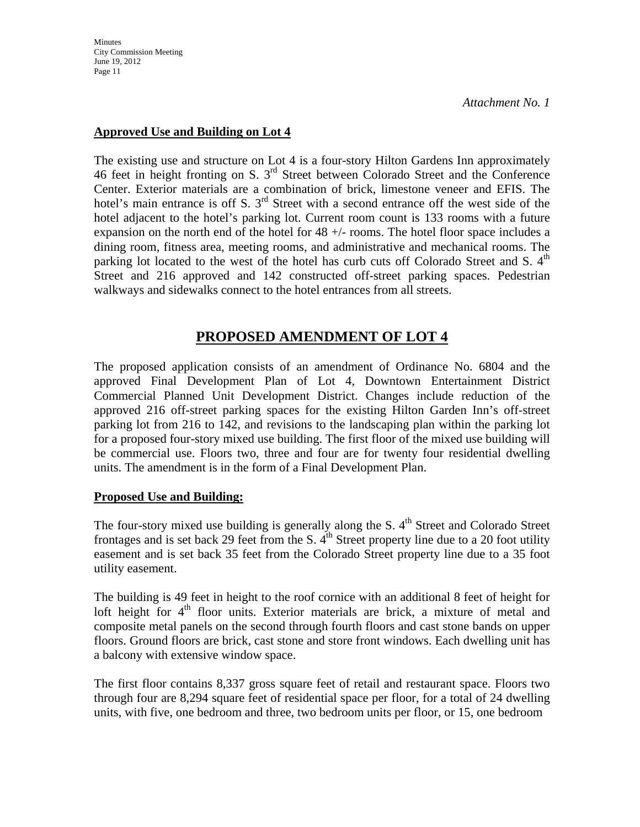**Minutes** City Commission Meeting June 19, 2012 Page 11

*Attachment No. 1*

### **Approved Use and Building on Lot 4**

The existing use and structure on Lot 4 is a four-story Hilton Gardens Inn approximately 46 feet in height fronting on S. 3rd Street between Colorado Street and the Conference Center. Exterior materials are a combination of brick, limestone veneer and EFIS. The hotel's main entrance is off S.  $3<sup>rd</sup>$  Street with a second entrance off the west side of the hotel adjacent to the hotel's parking lot. Current room count is 133 rooms with a future expansion on the north end of the hotel for 48 +/- rooms. The hotel floor space includes a dining room, fitness area, meeting rooms, and administrative and mechanical rooms. The parking lot located to the west of the hotel has curb cuts off Colorado Street and S. 4<sup>th</sup> Street and 216 approved and 142 constructed off-street parking spaces. Pedestrian walkways and sidewalks connect to the hotel entrances from all streets.

### **PROPOSED AMENDMENT OF LOT 4**

The proposed application consists of an amendment of Ordinance No. 6804 and the approved Final Development Plan of Lot 4, Downtown Entertainment District Commercial Planned Unit Development District. Changes include reduction of the approved 216 off-street parking spaces for the existing Hilton Garden Inn's off-street parking lot from 216 to 142, and revisions to the landscaping plan within the parking lot for a proposed four-story mixed use building. The first floor of the mixed use building will be commercial use. Floors two, three and four are for twenty four residential dwelling units. The amendment is in the form of a Final Development Plan.

### **Proposed Use and Building:**

The four-story mixed use building is generally along the S.  $4<sup>th</sup>$  Street and Colorado Street frontages and is set back 29 feet from the S.  $4<sup>th</sup>$  Street property line due to a 20 foot utility easement and is set back 35 feet from the Colorado Street property line due to a 35 foot utility easement.

The building is 49 feet in height to the roof cornice with an additional 8 feet of height for loft height for  $4<sup>th</sup>$  floor units. Exterior materials are brick, a mixture of metal and composite metal panels on the second through fourth floors and cast stone bands on upper floors. Ground floors are brick, cast stone and store front windows. Each dwelling unit has a balcony with extensive window space.

The first floor contains 8,337 gross square feet of retail and restaurant space. Floors two through four are 8,294 square feet of residential space per floor, for a total of 24 dwelling units, with five, one bedroom and three, two bedroom units per floor, or 15, one bedroom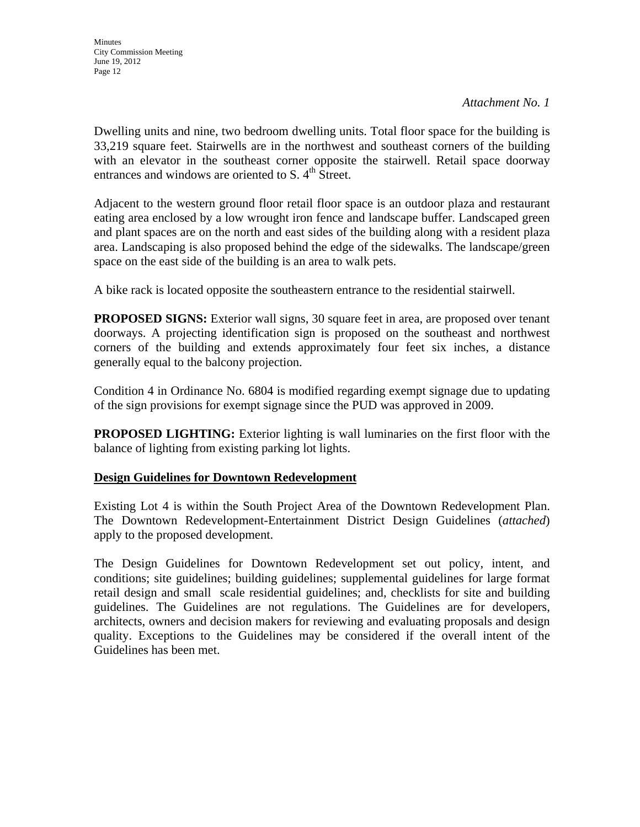Dwelling units and nine, two bedroom dwelling units. Total floor space for the building is 33,219 square feet. Stairwells are in the northwest and southeast corners of the building with an elevator in the southeast corner opposite the stairwell. Retail space doorway entrances and windows are oriented to S.  $4<sup>th</sup>$  Street.

Adjacent to the western ground floor retail floor space is an outdoor plaza and restaurant eating area enclosed by a low wrought iron fence and landscape buffer. Landscaped green and plant spaces are on the north and east sides of the building along with a resident plaza area. Landscaping is also proposed behind the edge of the sidewalks. The landscape/green space on the east side of the building is an area to walk pets.

A bike rack is located opposite the southeastern entrance to the residential stairwell.

**PROPOSED SIGNS:** Exterior wall signs, 30 square feet in area, are proposed over tenant doorways. A projecting identification sign is proposed on the southeast and northwest corners of the building and extends approximately four feet six inches, a distance generally equal to the balcony projection.

Condition 4 in Ordinance No. 6804 is modified regarding exempt signage due to updating of the sign provisions for exempt signage since the PUD was approved in 2009.

**PROPOSED LIGHTING:** Exterior lighting is wall luminaries on the first floor with the balance of lighting from existing parking lot lights.

### **Design Guidelines for Downtown Redevelopment**

Existing Lot 4 is within the South Project Area of the Downtown Redevelopment Plan. The Downtown Redevelopment-Entertainment District Design Guidelines (*attached*) apply to the proposed development.

The Design Guidelines for Downtown Redevelopment set out policy, intent, and conditions; site guidelines; building guidelines; supplemental guidelines for large format retail design and small scale residential guidelines; and, checklists for site and building guidelines. The Guidelines are not regulations. The Guidelines are for developers, architects, owners and decision makers for reviewing and evaluating proposals and design quality. Exceptions to the Guidelines may be considered if the overall intent of the Guidelines has been met.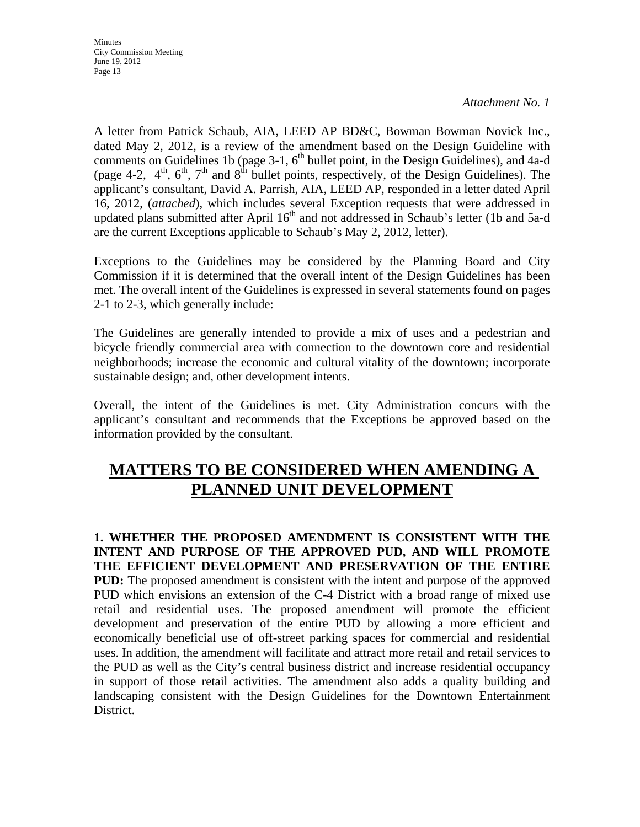A letter from Patrick Schaub, AIA, LEED AP BD&C, Bowman Bowman Novick Inc., dated May 2, 2012, is a review of the amendment based on the Design Guideline with comments on Guidelines 1b (page  $3-1$ ,  $6<sup>th</sup>$  bullet point, in the Design Guidelines), and 4a-d (page 4-2,  $4<sup>th</sup>$ ,  $6<sup>th</sup>$ ,  $7<sup>th</sup>$  and  $8<sup>th</sup>$  bullet points, respectively, of the Design Guidelines). The applicant's consultant, David A. Parrish, AIA, LEED AP, responded in a letter dated April 16, 2012, (*attached*), which includes several Exception requests that were addressed in updated plans submitted after April  $16<sup>th</sup>$  and not addressed in Schaub's letter (1b and 5a-d are the current Exceptions applicable to Schaub's May 2, 2012, letter).

Exceptions to the Guidelines may be considered by the Planning Board and City Commission if it is determined that the overall intent of the Design Guidelines has been met. The overall intent of the Guidelines is expressed in several statements found on pages 2-1 to 2-3, which generally include:

The Guidelines are generally intended to provide a mix of uses and a pedestrian and bicycle friendly commercial area with connection to the downtown core and residential neighborhoods; increase the economic and cultural vitality of the downtown; incorporate sustainable design; and, other development intents.

Overall, the intent of the Guidelines is met. City Administration concurs with the applicant's consultant and recommends that the Exceptions be approved based on the information provided by the consultant.

## **MATTERS TO BE CONSIDERED WHEN AMENDING A PLANNED UNIT DEVELOPMENT**

**1. WHETHER THE PROPOSED AMENDMENT IS CONSISTENT WITH THE INTENT AND PURPOSE OF THE APPROVED PUD, AND WILL PROMOTE THE EFFICIENT DEVELOPMENT AND PRESERVATION OF THE ENTIRE PUD:** The proposed amendment is consistent with the intent and purpose of the approved PUD which envisions an extension of the C-4 District with a broad range of mixed use retail and residential uses. The proposed amendment will promote the efficient development and preservation of the entire PUD by allowing a more efficient and economically beneficial use of off-street parking spaces for commercial and residential uses. In addition, the amendment will facilitate and attract more retail and retail services to the PUD as well as the City's central business district and increase residential occupancy in support of those retail activities. The amendment also adds a quality building and landscaping consistent with the Design Guidelines for the Downtown Entertainment District.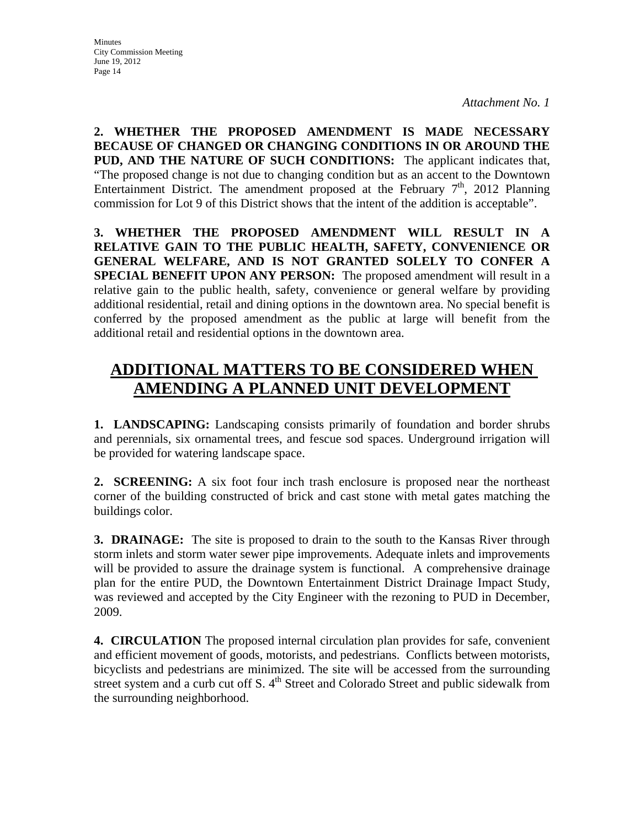**2. WHETHER THE PROPOSED AMENDMENT IS MADE NECESSARY BECAUSE OF CHANGED OR CHANGING CONDITIONS IN OR AROUND THE PUD, AND THE NATURE OF SUCH CONDITIONS:** The applicant indicates that, "The proposed change is not due to changing condition but as an accent to the Downtown Entertainment District. The amendment proposed at the February  $7<sup>th</sup>$ , 2012 Planning commission for Lot 9 of this District shows that the intent of the addition is acceptable".

**3. WHETHER THE PROPOSED AMENDMENT WILL RESULT IN A RELATIVE GAIN TO THE PUBLIC HEALTH, SAFETY, CONVENIENCE OR GENERAL WELFARE, AND IS NOT GRANTED SOLELY TO CONFER A SPECIAL BENEFIT UPON ANY PERSON:** The proposed amendment will result in a relative gain to the public health, safety, convenience or general welfare by providing additional residential, retail and dining options in the downtown area. No special benefit is conferred by the proposed amendment as the public at large will benefit from the additional retail and residential options in the downtown area.

# **ADDITIONAL MATTERS TO BE CONSIDERED WHEN AMENDING A PLANNED UNIT DEVELOPMENT**

**1. LANDSCAPING:** Landscaping consists primarily of foundation and border shrubs and perennials, six ornamental trees, and fescue sod spaces. Underground irrigation will be provided for watering landscape space.

**2. SCREENING:** A six foot four inch trash enclosure is proposed near the northeast corner of the building constructed of brick and cast stone with metal gates matching the buildings color.

**3. DRAINAGE:** The site is proposed to drain to the south to the Kansas River through storm inlets and storm water sewer pipe improvements. Adequate inlets and improvements will be provided to assure the drainage system is functional. A comprehensive drainage plan for the entire PUD, the Downtown Entertainment District Drainage Impact Study, was reviewed and accepted by the City Engineer with the rezoning to PUD in December, 2009.

**4. CIRCULATION** The proposed internal circulation plan provides for safe, convenient and efficient movement of goods, motorists, and pedestrians. Conflicts between motorists, bicyclists and pedestrians are minimized. The site will be accessed from the surrounding street system and a curb cut off S.  $4<sup>th</sup>$  Street and Colorado Street and public sidewalk from the surrounding neighborhood.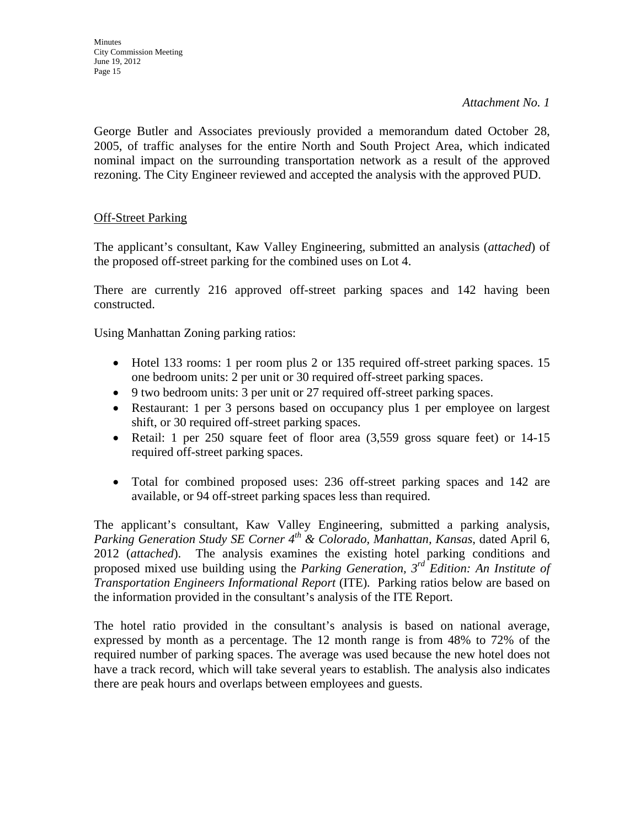George Butler and Associates previously provided a memorandum dated October 28, 2005, of traffic analyses for the entire North and South Project Area, which indicated nominal impact on the surrounding transportation network as a result of the approved rezoning. The City Engineer reviewed and accepted the analysis with the approved PUD.

### **Off-Street Parking**

The applicant's consultant, Kaw Valley Engineering, submitted an analysis (*attached*) of the proposed off-street parking for the combined uses on Lot 4.

There are currently 216 approved off-street parking spaces and 142 having been constructed.

Using Manhattan Zoning parking ratios:

- Hotel 133 rooms: 1 per room plus 2 or 135 required off-street parking spaces. 15 one bedroom units: 2 per unit or 30 required off-street parking spaces.
- 9 two bedroom units: 3 per unit or 27 required off-street parking spaces.
- Restaurant: 1 per 3 persons based on occupancy plus 1 per employee on largest shift, or 30 required off-street parking spaces.
- Retail: 1 per 250 square feet of floor area  $(3,559)$  gross square feet) or 14-15 required off-street parking spaces.
- Total for combined proposed uses: 236 off-street parking spaces and 142 are available, or 94 off-street parking spaces less than required.

The applicant's consultant, Kaw Valley Engineering, submitted a parking analysis, *Parking Generation Study SE Corner 4<sup>th</sup> & Colorado, Manhattan, Kansas, dated April 6,* 2012 (*attached*). The analysis examines the existing hotel parking conditions and proposed mixed use building using the *Parking Generation, 3rd Edition: An Institute of Transportation Engineers Informational Report* (ITE)*.* Parking ratios below are based on the information provided in the consultant's analysis of the ITE Report.

The hotel ratio provided in the consultant's analysis is based on national average, expressed by month as a percentage. The 12 month range is from 48% to 72% of the required number of parking spaces. The average was used because the new hotel does not have a track record, which will take several years to establish. The analysis also indicates there are peak hours and overlaps between employees and guests.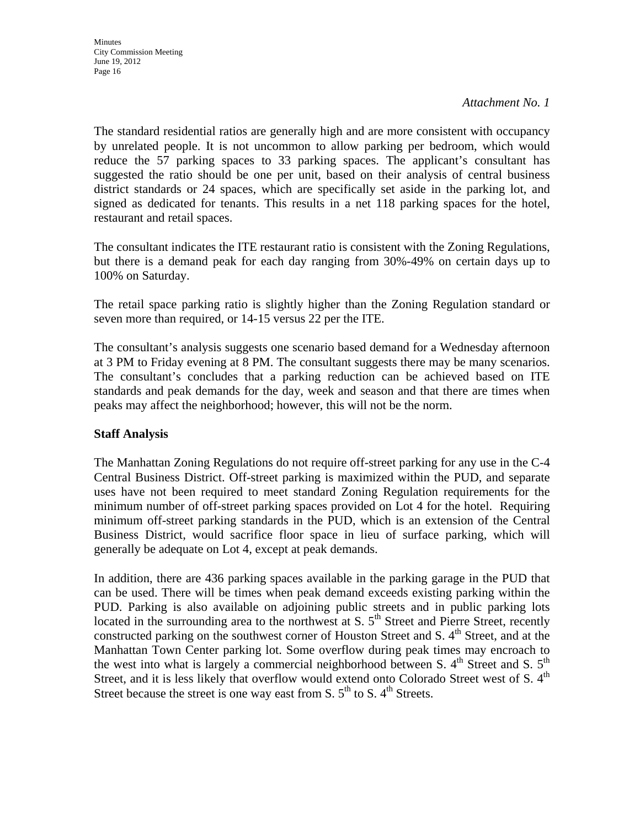The standard residential ratios are generally high and are more consistent with occupancy by unrelated people. It is not uncommon to allow parking per bedroom, which would reduce the 57 parking spaces to 33 parking spaces. The applicant's consultant has suggested the ratio should be one per unit, based on their analysis of central business district standards or 24 spaces, which are specifically set aside in the parking lot, and signed as dedicated for tenants. This results in a net 118 parking spaces for the hotel, restaurant and retail spaces.

The consultant indicates the ITE restaurant ratio is consistent with the Zoning Regulations, but there is a demand peak for each day ranging from 30%-49% on certain days up to 100% on Saturday.

The retail space parking ratio is slightly higher than the Zoning Regulation standard or seven more than required, or 14-15 versus 22 per the ITE.

The consultant's analysis suggests one scenario based demand for a Wednesday afternoon at 3 PM to Friday evening at 8 PM. The consultant suggests there may be many scenarios. The consultant's concludes that a parking reduction can be achieved based on ITE standards and peak demands for the day, week and season and that there are times when peaks may affect the neighborhood; however, this will not be the norm.

### **Staff Analysis**

The Manhattan Zoning Regulations do not require off-street parking for any use in the C-4 Central Business District. Off-street parking is maximized within the PUD, and separate uses have not been required to meet standard Zoning Regulation requirements for the minimum number of off-street parking spaces provided on Lot 4 for the hotel. Requiring minimum off-street parking standards in the PUD, which is an extension of the Central Business District, would sacrifice floor space in lieu of surface parking, which will generally be adequate on Lot 4, except at peak demands.

In addition, there are 436 parking spaces available in the parking garage in the PUD that can be used. There will be times when peak demand exceeds existing parking within the PUD. Parking is also available on adjoining public streets and in public parking lots located in the surrounding area to the northwest at S.  $5<sup>th</sup>$  Street and Pierre Street, recently constructed parking on the southwest corner of Houston Street and S.  $4<sup>th</sup>$  Street, and at the Manhattan Town Center parking lot. Some overflow during peak times may encroach to the west into what is largely a commercial neighborhood between S.  $4<sup>th</sup>$  Street and S.  $5<sup>th</sup>$ Street, and it is less likely that overflow would extend onto Colorado Street west of S. 4<sup>th</sup> Street because the street is one way east from S.  $5<sup>th</sup>$  to S.  $4<sup>th</sup>$  Streets.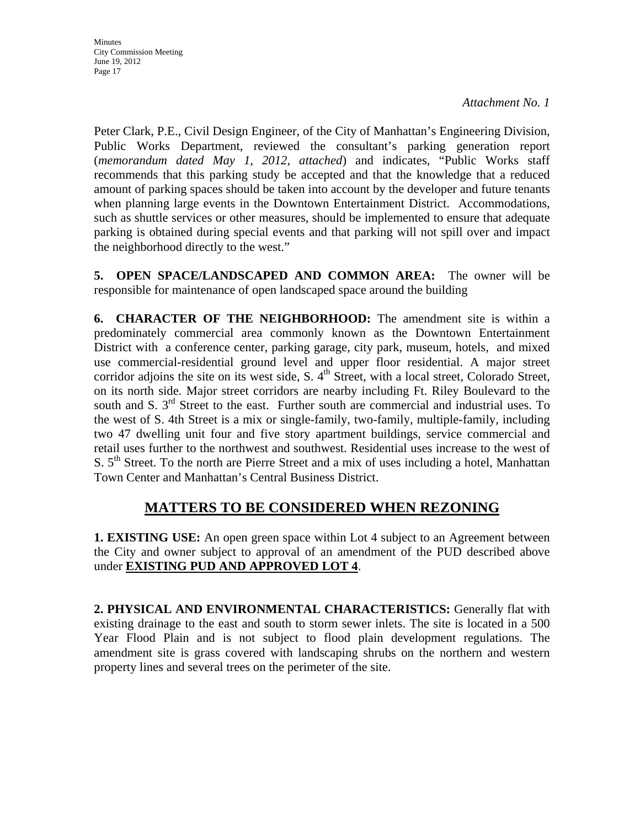**Minutes** City Commission Meeting June 19, 2012 Page 17

*Attachment No. 1*

Peter Clark, P.E., Civil Design Engineer, of the City of Manhattan's Engineering Division, Public Works Department, reviewed the consultant's parking generation report (*memorandum dated May 1, 2012, attached*) and indicates, "Public Works staff recommends that this parking study be accepted and that the knowledge that a reduced amount of parking spaces should be taken into account by the developer and future tenants when planning large events in the Downtown Entertainment District. Accommodations, such as shuttle services or other measures, should be implemented to ensure that adequate parking is obtained during special events and that parking will not spill over and impact the neighborhood directly to the west."

**5. OPEN SPACE/LANDSCAPED AND COMMON AREA:** The owner will be responsible for maintenance of open landscaped space around the building

**6. CHARACTER OF THE NEIGHBORHOOD:** The amendment site is within a predominately commercial area commonly known as the Downtown Entertainment District with a conference center, parking garage, city park, museum, hotels, and mixed use commercial-residential ground level and upper floor residential. A major street corridor adjoins the site on its west side, S.  $4<sup>th</sup>$  Street, with a local street, Colorado Street, on its north side. Major street corridors are nearby including Ft. Riley Boulevard to the south and S.  $3<sup>rd</sup>$  Street to the east. Further south are commercial and industrial uses. To the west of S. 4th Street is a mix or single-family, two-family, multiple-family, including two 47 dwelling unit four and five story apartment buildings, service commercial and retail uses further to the northwest and southwest. Residential uses increase to the west of S.  $5<sup>th</sup>$  Street. To the north are Pierre Street and a mix of uses including a hotel, Manhattan Town Center and Manhattan's Central Business District.

## **MATTERS TO BE CONSIDERED WHEN REZONING**

**1. EXISTING USE:** An open green space within Lot 4 subject to an Agreement between the City and owner subject to approval of an amendment of the PUD described above under **EXISTING PUD AND APPROVED LOT 4**.

**2. PHYSICAL AND ENVIRONMENTAL CHARACTERISTICS:** Generally flat with existing drainage to the east and south to storm sewer inlets. The site is located in a 500 Year Flood Plain and is not subject to flood plain development regulations. The amendment site is grass covered with landscaping shrubs on the northern and western property lines and several trees on the perimeter of the site.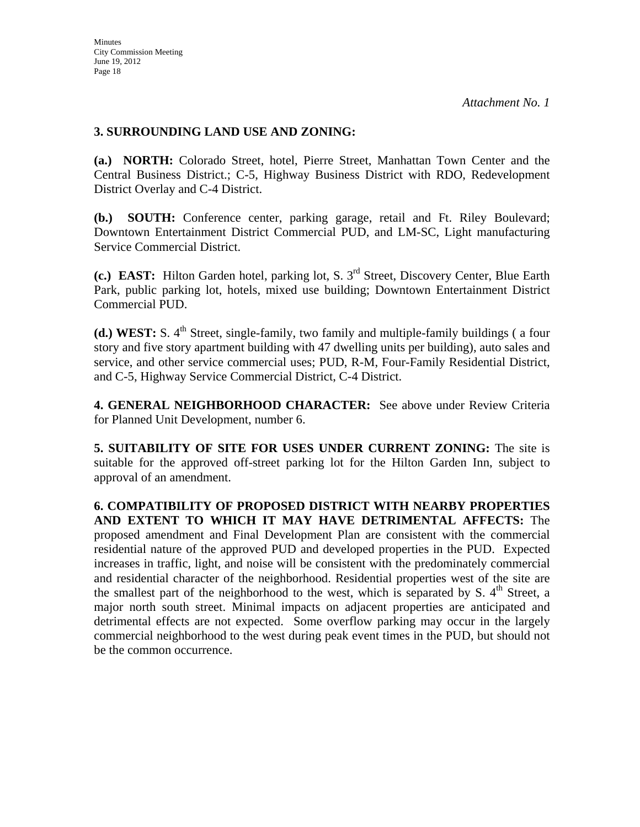### **3. SURROUNDING LAND USE AND ZONING:**

**(a.) NORTH:** Colorado Street, hotel, Pierre Street, Manhattan Town Center and the Central Business District.; C-5, Highway Business District with RDO, Redevelopment District Overlay and C-4 District.

**(b.) SOUTH:** Conference center, parking garage, retail and Ft. Riley Boulevard; Downtown Entertainment District Commercial PUD, and LM-SC, Light manufacturing Service Commercial District.

**(c.) EAST:** Hilton Garden hotel, parking lot, S. 3rd Street, Discovery Center, Blue Earth Park, public parking lot, hotels, mixed use building; Downtown Entertainment District Commercial PUD.

(d.) WEST: S. 4<sup>th</sup> Street, single-family, two family and multiple-family buildings (a four story and five story apartment building with 47 dwelling units per building), auto sales and service, and other service commercial uses; PUD, R-M, Four-Family Residential District, and C-5, Highway Service Commercial District, C-4 District.

**4. GENERAL NEIGHBORHOOD CHARACTER:** See above under Review Criteria for Planned Unit Development, number 6.

**5. SUITABILITY OF SITE FOR USES UNDER CURRENT ZONING:** The site is suitable for the approved off-street parking lot for the Hilton Garden Inn, subject to approval of an amendment.

**6. COMPATIBILITY OF PROPOSED DISTRICT WITH NEARBY PROPERTIES AND EXTENT TO WHICH IT MAY HAVE DETRIMENTAL AFFECTS:** The proposed amendment and Final Development Plan are consistent with the commercial residential nature of the approved PUD and developed properties in the PUD. Expected increases in traffic, light, and noise will be consistent with the predominately commercial and residential character of the neighborhood. Residential properties west of the site are the smallest part of the neighborhood to the west, which is separated by S,  $4<sup>th</sup>$  Street, a major north south street. Minimal impacts on adjacent properties are anticipated and detrimental effects are not expected. Some overflow parking may occur in the largely commercial neighborhood to the west during peak event times in the PUD, but should not be the common occurrence.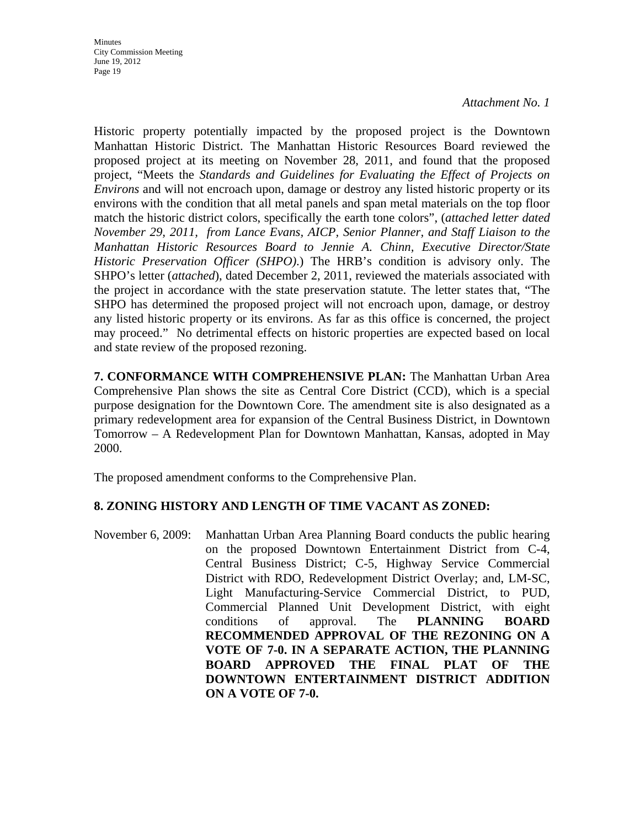Historic property potentially impacted by the proposed project is the Downtown Manhattan Historic District. The Manhattan Historic Resources Board reviewed the proposed project at its meeting on November 28, 2011, and found that the proposed project, "Meets the *Standards and Guidelines for Evaluating the Effect of Projects on Environs* and will not encroach upon, damage or destroy any listed historic property or its environs with the condition that all metal panels and span metal materials on the top floor match the historic district colors, specifically the earth tone colors", (*attached letter dated November 29, 2011, from Lance Evans, AICP, Senior Planner, and Staff Liaison to the Manhattan Historic Resources Board to Jennie A. Chinn, Executive Director/State Historic Preservation Officer (SHPO)*.) The HRB's condition is advisory only. The SHPO's letter (*attached*), dated December 2, 2011, reviewed the materials associated with the project in accordance with the state preservation statute. The letter states that, "The SHPO has determined the proposed project will not encroach upon, damage, or destroy any listed historic property or its environs. As far as this office is concerned, the project may proceed." No detrimental effects on historic properties are expected based on local and state review of the proposed rezoning.

**7. CONFORMANCE WITH COMPREHENSIVE PLAN:** The Manhattan Urban Area Comprehensive Plan shows the site as Central Core District (CCD), which is a special purpose designation for the Downtown Core. The amendment site is also designated as a primary redevelopment area for expansion of the Central Business District, in Downtown Tomorrow – A Redevelopment Plan for Downtown Manhattan, Kansas, adopted in May 2000.

The proposed amendment conforms to the Comprehensive Plan.

### **8. ZONING HISTORY AND LENGTH OF TIME VACANT AS ZONED:**

November 6, 2009: Manhattan Urban Area Planning Board conducts the public hearing on the proposed Downtown Entertainment District from C-4, Central Business District; C-5, Highway Service Commercial District with RDO, Redevelopment District Overlay; and, LM-SC, Light Manufacturing-Service Commercial District, to PUD, Commercial Planned Unit Development District, with eight conditions of approval. The **PLANNING BOARD RECOMMENDED APPROVAL OF THE REZONING ON A VOTE OF 7-0. IN A SEPARATE ACTION, THE PLANNING BOARD APPROVED THE FINAL PLAT OF THE DOWNTOWN ENTERTAINMENT DISTRICT ADDITION ON A VOTE OF 7-0.**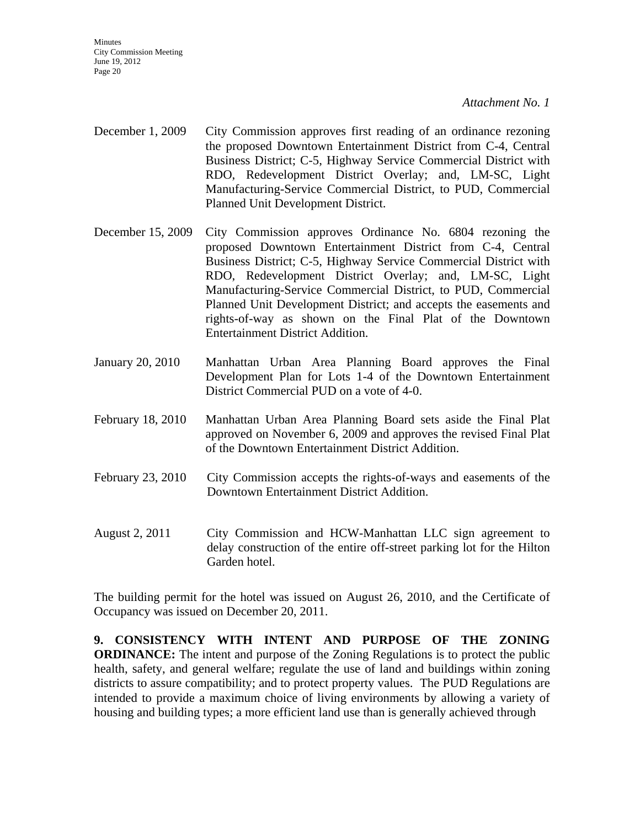**Minutes** City Commission Meeting June 19, 2012 Page 20

*Attachment No. 1*

- December 1, 2009 City Commission approves first reading of an ordinance rezoning the proposed Downtown Entertainment District from C-4, Central Business District; C-5, Highway Service Commercial District with RDO, Redevelopment District Overlay; and, LM-SC, Light Manufacturing-Service Commercial District, to PUD, Commercial Planned Unit Development District.
- December 15, 2009 City Commission approves Ordinance No. 6804 rezoning the proposed Downtown Entertainment District from C-4, Central Business District; C-5, Highway Service Commercial District with RDO, Redevelopment District Overlay; and, LM-SC, Light Manufacturing-Service Commercial District, to PUD, Commercial Planned Unit Development District; and accepts the easements and rights-of-way as shown on the Final Plat of the Downtown Entertainment District Addition.
- January 20, 2010 Manhattan Urban Area Planning Board approves the Final Development Plan for Lots 1-4 of the Downtown Entertainment District Commercial PUD on a vote of 4-0.
- February 18, 2010 Manhattan Urban Area Planning Board sets aside the Final Plat approved on November 6, 2009 and approves the revised Final Plat of the Downtown Entertainment District Addition.
- February 23, 2010 City Commission accepts the rights-of-ways and easements of the Downtown Entertainment District Addition.
- August 2, 2011 City Commission and HCW-Manhattan LLC sign agreement to delay construction of the entire off-street parking lot for the Hilton Garden hotel.

The building permit for the hotel was issued on August 26, 2010, and the Certificate of Occupancy was issued on December 20, 2011.

**9. CONSISTENCY WITH INTENT AND PURPOSE OF THE ZONING ORDINANCE:** The intent and purpose of the Zoning Regulations is to protect the public health, safety, and general welfare; regulate the use of land and buildings within zoning districts to assure compatibility; and to protect property values. The PUD Regulations are intended to provide a maximum choice of living environments by allowing a variety of housing and building types; a more efficient land use than is generally achieved through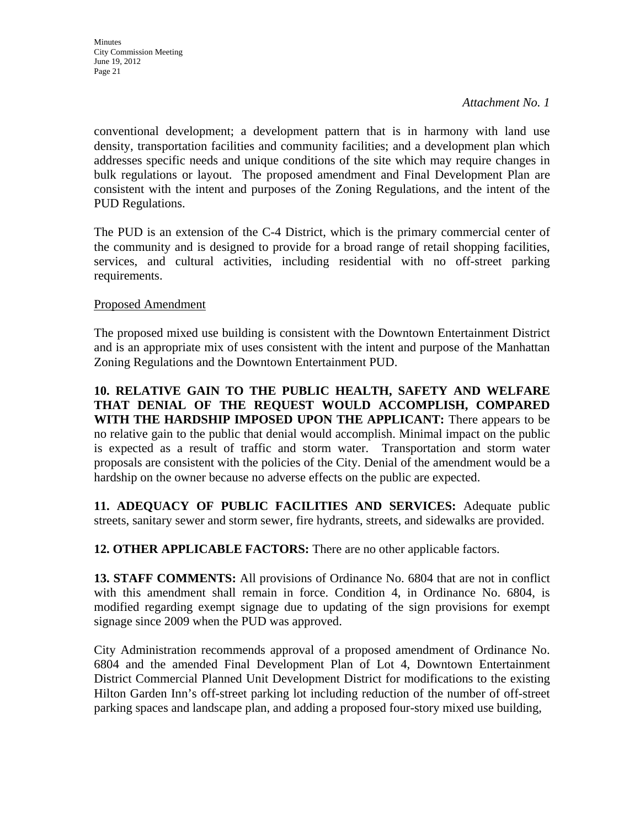conventional development; a development pattern that is in harmony with land use density, transportation facilities and community facilities; and a development plan which addresses specific needs and unique conditions of the site which may require changes in bulk regulations or layout. The proposed amendment and Final Development Plan are consistent with the intent and purposes of the Zoning Regulations, and the intent of the PUD Regulations.

The PUD is an extension of the C-4 District, which is the primary commercial center of the community and is designed to provide for a broad range of retail shopping facilities, services, and cultural activities, including residential with no off-street parking requirements.

### Proposed Amendment

The proposed mixed use building is consistent with the Downtown Entertainment District and is an appropriate mix of uses consistent with the intent and purpose of the Manhattan Zoning Regulations and the Downtown Entertainment PUD.

**10. RELATIVE GAIN TO THE PUBLIC HEALTH, SAFETY AND WELFARE THAT DENIAL OF THE REQUEST WOULD ACCOMPLISH, COMPARED WITH THE HARDSHIP IMPOSED UPON THE APPLICANT:** There appears to be no relative gain to the public that denial would accomplish. Minimal impact on the public is expected as a result of traffic and storm water. Transportation and storm water proposals are consistent with the policies of the City. Denial of the amendment would be a hardship on the owner because no adverse effects on the public are expected.

**11. ADEQUACY OF PUBLIC FACILITIES AND SERVICES:** Adequate public streets, sanitary sewer and storm sewer, fire hydrants, streets, and sidewalks are provided.

**12. OTHER APPLICABLE FACTORS:** There are no other applicable factors.

**13. STAFF COMMENTS:** All provisions of Ordinance No. 6804 that are not in conflict with this amendment shall remain in force. Condition 4, in Ordinance No. 6804, is modified regarding exempt signage due to updating of the sign provisions for exempt signage since 2009 when the PUD was approved.

City Administration recommends approval of a proposed amendment of Ordinance No. 6804 and the amended Final Development Plan of Lot 4, Downtown Entertainment District Commercial Planned Unit Development District for modifications to the existing Hilton Garden Inn's off-street parking lot including reduction of the number of off-street parking spaces and landscape plan, and adding a proposed four-story mixed use building,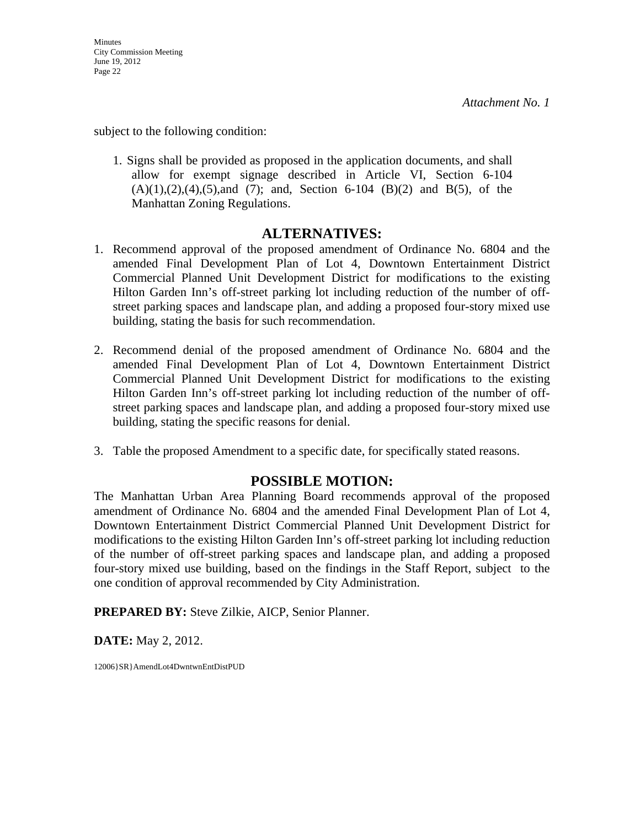subject to the following condition:

1. Signs shall be provided as proposed in the application documents, and shall allow for exempt signage described in Article VI, Section 6-104  $(A)(1), (2), (4), (5), and (7)$ ; and, Section 6-104 (B)(2) and B(5), of the Manhattan Zoning Regulations.

### **ALTERNATIVES:**

- 1. Recommend approval of the proposed amendment of Ordinance No. 6804 and the amended Final Development Plan of Lot 4, Downtown Entertainment District Commercial Planned Unit Development District for modifications to the existing Hilton Garden Inn's off-street parking lot including reduction of the number of offstreet parking spaces and landscape plan, and adding a proposed four-story mixed use building, stating the basis for such recommendation.
- 2. Recommend denial of the proposed amendment of Ordinance No. 6804 and the amended Final Development Plan of Lot 4, Downtown Entertainment District Commercial Planned Unit Development District for modifications to the existing Hilton Garden Inn's off-street parking lot including reduction of the number of offstreet parking spaces and landscape plan, and adding a proposed four-story mixed use building, stating the specific reasons for denial.
- 3. Table the proposed Amendment to a specific date, for specifically stated reasons.

### **POSSIBLE MOTION:**

The Manhattan Urban Area Planning Board recommends approval of the proposed amendment of Ordinance No. 6804 and the amended Final Development Plan of Lot 4, Downtown Entertainment District Commercial Planned Unit Development District for modifications to the existing Hilton Garden Inn's off-street parking lot including reduction of the number of off-street parking spaces and landscape plan, and adding a proposed four-story mixed use building, based on the findings in the Staff Report, subject to the one condition of approval recommended by City Administration.

**PREPARED BY:** Steve Zilkie, AICP, Senior Planner.

**DATE:** May 2, 2012.

12006}SR}AmendLot4DwntwnEntDistPUD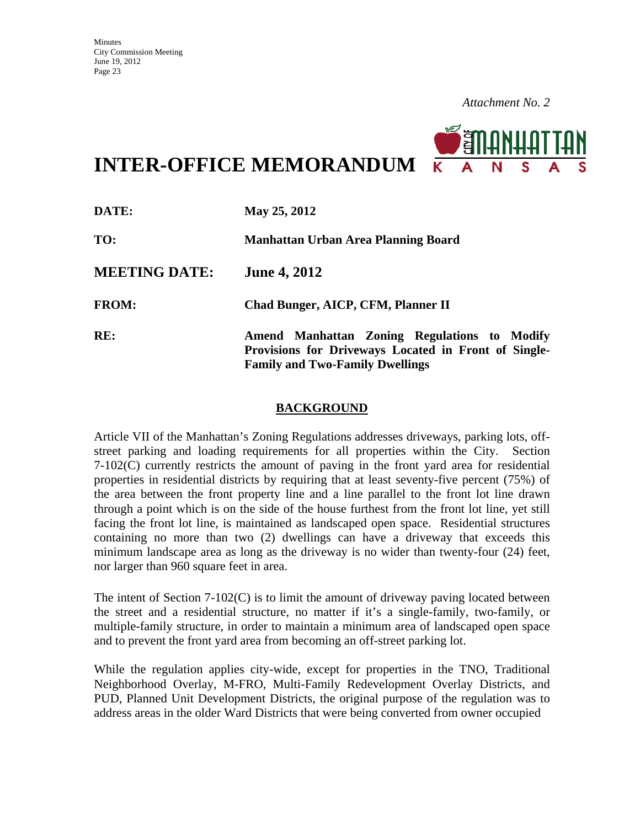

**INTER-OFFICE MEMORANDUM**

| DATE:                | May 25, 2012                                                                                                                                   |
|----------------------|------------------------------------------------------------------------------------------------------------------------------------------------|
| TO:                  | Manhattan Urban Area Planning Board                                                                                                            |
| <b>MEETING DATE:</b> | <b>June 4, 2012</b>                                                                                                                            |
| <b>FROM:</b>         | Chad Bunger, AICP, CFM, Planner II                                                                                                             |
| RE:                  | Amend Manhattan Zoning Regulations to Modify<br>Provisions for Driveways Located in Front of Single-<br><b>Family and Two-Family Dwellings</b> |

### **BACKGROUND**

Article VII of the Manhattan's Zoning Regulations addresses driveways, parking lots, offstreet parking and loading requirements for all properties within the City. Section 7-102(C) currently restricts the amount of paving in the front yard area for residential properties in residential districts by requiring that at least seventy-five percent (75%) of the area between the front property line and a line parallel to the front lot line drawn through a point which is on the side of the house furthest from the front lot line, yet still facing the front lot line, is maintained as landscaped open space.Residential structures containing no more than two (2) dwellings can have a driveway that exceeds this minimum landscape area as long as the driveway is no wider than twenty-four (24) feet, nor larger than 960 square feet in area.

The intent of Section 7-102(C) is to limit the amount of driveway paving located between the street and a residential structure, no matter if it's a single-family, two-family, or multiple-family structure, in order to maintain a minimum area of landscaped open space and to prevent the front yard area from becoming an off-street parking lot.

While the regulation applies city-wide, except for properties in the TNO, Traditional Neighborhood Overlay, M-FRO, Multi-Family Redevelopment Overlay Districts, and PUD, Planned Unit Development Districts, the original purpose of the regulation was to address areas in the older Ward Districts that were being converted from owner occupied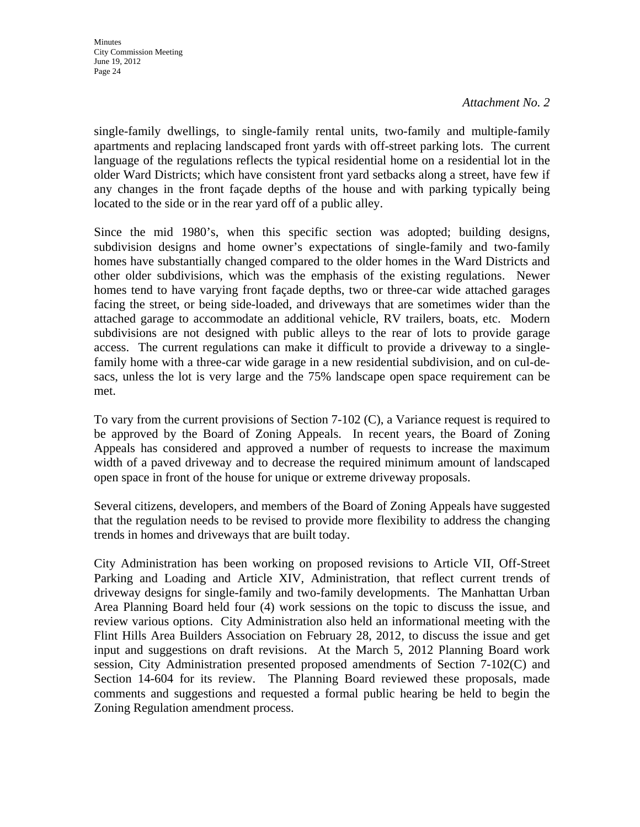single-family dwellings, to single-family rental units, two-family and multiple-family apartments and replacing landscaped front yards with off-street parking lots. The current language of the regulations reflects the typical residential home on a residential lot in the older Ward Districts; which have consistent front yard setbacks along a street, have few if any changes in the front façade depths of the house and with parking typically being located to the side or in the rear yard off of a public alley.

Since the mid 1980's, when this specific section was adopted; building designs, subdivision designs and home owner's expectations of single-family and two-family homes have substantially changed compared to the older homes in the Ward Districts and other older subdivisions, which was the emphasis of the existing regulations. Newer homes tend to have varying front façade depths, two or three-car wide attached garages facing the street, or being side-loaded, and driveways that are sometimes wider than the attached garage to accommodate an additional vehicle, RV trailers, boats, etc. Modern subdivisions are not designed with public alleys to the rear of lots to provide garage access. The current regulations can make it difficult to provide a driveway to a singlefamily home with a three-car wide garage in a new residential subdivision, and on cul-desacs, unless the lot is very large and the 75% landscape open space requirement can be met.

To vary from the current provisions of Section 7-102 (C), a Variance request is required to be approved by the Board of Zoning Appeals. In recent years, the Board of Zoning Appeals has considered and approved a number of requests to increase the maximum width of a paved driveway and to decrease the required minimum amount of landscaped open space in front of the house for unique or extreme driveway proposals.

Several citizens, developers, and members of the Board of Zoning Appeals have suggested that the regulation needs to be revised to provide more flexibility to address the changing trends in homes and driveways that are built today.

City Administration has been working on proposed revisions to Article VII, Off-Street Parking and Loading and Article XIV, Administration, that reflect current trends of driveway designs for single-family and two-family developments. The Manhattan Urban Area Planning Board held four (4) work sessions on the topic to discuss the issue, and review various options. City Administration also held an informational meeting with the Flint Hills Area Builders Association on February 28, 2012, to discuss the issue and get input and suggestions on draft revisions. At the March 5, 2012 Planning Board work session, City Administration presented proposed amendments of Section 7-102(C) and Section 14-604 for its review. The Planning Board reviewed these proposals, made comments and suggestions and requested a formal public hearing be held to begin the Zoning Regulation amendment process.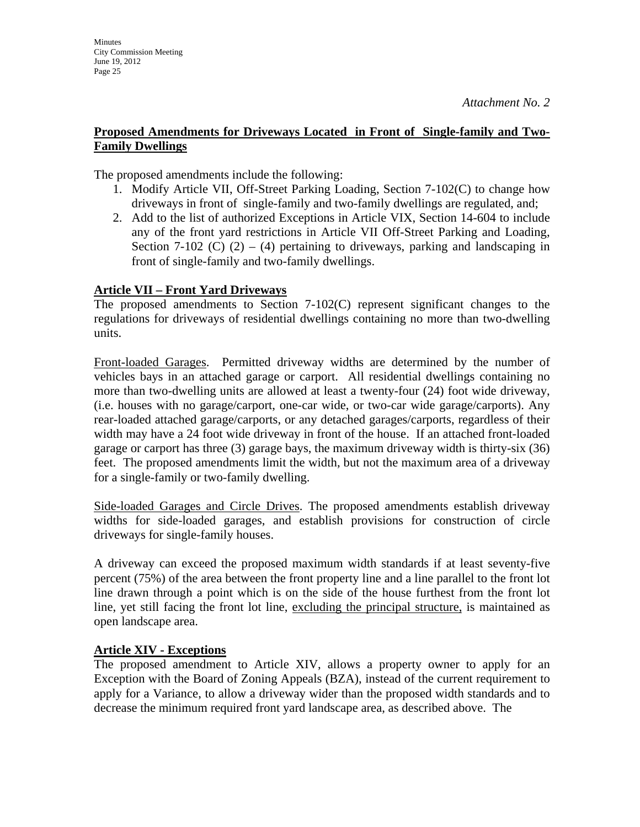**Minutes** 

June 19, 2012 Page 25

City Commission Meeting

### **Proposed Amendments for Driveways Located in Front of Single-family and Two-Family Dwellings**

The proposed amendments include the following:

- 1. Modify Article VII, Off-Street Parking Loading, Section 7-102(C) to change how driveways in front of single-family and two-family dwellings are regulated, and;
- 2. Add to the list of authorized Exceptions in Article VIX, Section 14-604 to include any of the front yard restrictions in Article VII Off-Street Parking and Loading, Section 7-102 (C)  $(2) - (4)$  pertaining to driveways, parking and landscaping in front of single-family and two-family dwellings.

### **Article VII – Front Yard Driveways**

The proposed amendments to Section 7-102(C) represent significant changes to the regulations for driveways of residential dwellings containing no more than two-dwelling units.

Front-loaded Garages. Permitted driveway widths are determined by the number of vehicles bays in an attached garage or carport. All residential dwellings containing no more than two-dwelling units are allowed at least a twenty-four (24) foot wide driveway, (i.e. houses with no garage/carport, one-car wide, or two-car wide garage/carports). Any rear-loaded attached garage/carports, or any detached garages/carports, regardless of their width may have a 24 foot wide driveway in front of the house. If an attached front-loaded garage or carport has three (3) garage bays, the maximum driveway width is thirty-six (36) feet. The proposed amendments limit the width, but not the maximum area of a driveway for a single-family or two-family dwelling.

Side-loaded Garages and Circle Drives. The proposed amendments establish driveway widths for side-loaded garages, and establish provisions for construction of circle driveways for single-family houses.

A driveway can exceed the proposed maximum width standards if at least seventy-five percent (75%) of the area between the front property line and a line parallel to the front lot line drawn through a point which is on the side of the house furthest from the front lot line, yet still facing the front lot line, excluding the principal structure, is maintained as open landscape area.

### **Article XIV - Exceptions**

The proposed amendment to Article XIV, allows a property owner to apply for an Exception with the Board of Zoning Appeals (BZA), instead of the current requirement to apply for a Variance, to allow a driveway wider than the proposed width standards and to decrease the minimum required front yard landscape area, as described above. The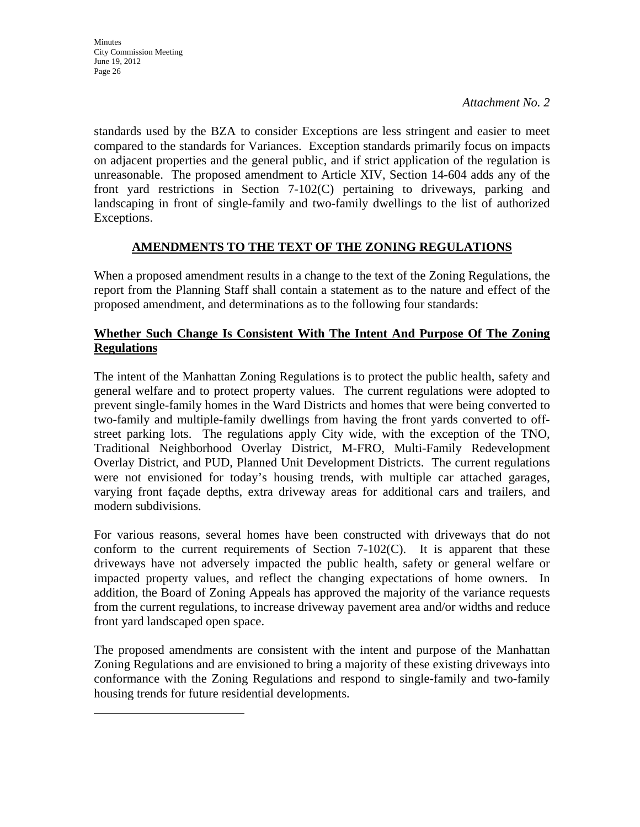standards used by the BZA to consider Exceptions are less stringent and easier to meet compared to the standards for Variances. Exception standards primarily focus on impacts on adjacent properties and the general public, and if strict application of the regulation is unreasonable. The proposed amendment to Article XIV, Section 14-604 adds any of the front yard restrictions in Section 7-102(C) pertaining to driveways, parking and landscaping in front of single-family and two-family dwellings to the list of authorized Exceptions.

### **AMENDMENTS TO THE TEXT OF THE ZONING REGULATIONS**

When a proposed amendment results in a change to the text of the Zoning Regulations, the report from the Planning Staff shall contain a statement as to the nature and effect of the proposed amendment, and determinations as to the following four standards:

### **Whether Such Change Is Consistent With The Intent And Purpose Of The Zoning Regulations**

The intent of the Manhattan Zoning Regulations is to protect the public health, safety and general welfare and to protect property values. The current regulations were adopted to prevent single-family homes in the Ward Districts and homes that were being converted to two-family and multiple-family dwellings from having the front yards converted to offstreet parking lots. The regulations apply City wide, with the exception of the TNO, Traditional Neighborhood Overlay District, M-FRO, Multi-Family Redevelopment Overlay District, and PUD, Planned Unit Development Districts. The current regulations were not envisioned for today's housing trends, with multiple car attached garages, varying front façade depths, extra driveway areas for additional cars and trailers, and modern subdivisions.

For various reasons, several homes have been constructed with driveways that do not conform to the current requirements of Section  $7-102(C)$ . It is apparent that these driveways have not adversely impacted the public health, safety or general welfare or impacted property values, and reflect the changing expectations of home owners. In addition, the Board of Zoning Appeals has approved the majority of the variance requests from the current regulations, to increase driveway pavement area and/or widths and reduce front yard landscaped open space.

The proposed amendments are consistent with the intent and purpose of the Manhattan Zoning Regulations and are envisioned to bring a majority of these existing driveways into conformance with the Zoning Regulations and respond to single-family and two-family housing trends for future residential developments.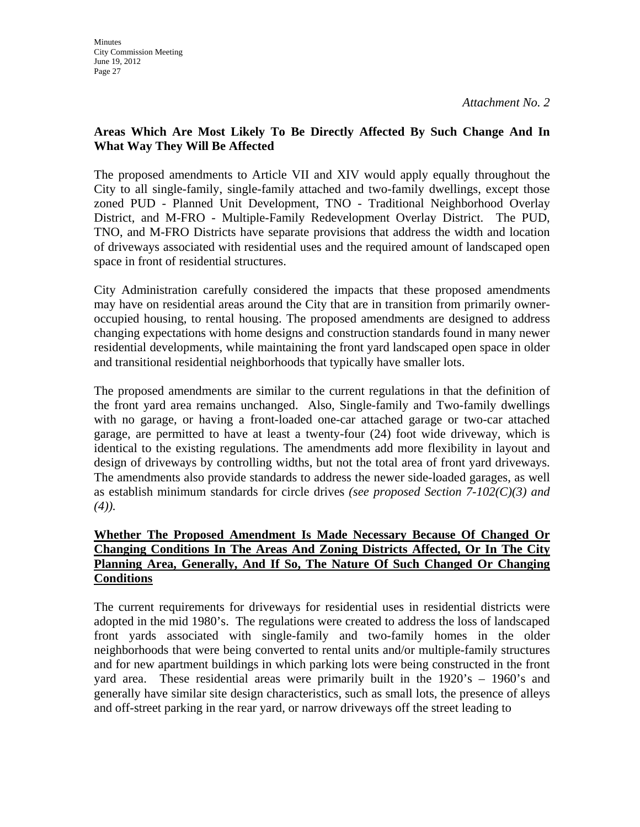### **Areas Which Are Most Likely To Be Directly Affected By Such Change And In What Way They Will Be Affected**

The proposed amendments to Article VII and XIV would apply equally throughout the City to all single-family, single-family attached and two-family dwellings, except those zoned PUD - Planned Unit Development, TNO - Traditional Neighborhood Overlay District, and M-FRO - Multiple-Family Redevelopment Overlay District. The PUD, TNO, and M-FRO Districts have separate provisions that address the width and location of driveways associated with residential uses and the required amount of landscaped open space in front of residential structures.

City Administration carefully considered the impacts that these proposed amendments may have on residential areas around the City that are in transition from primarily owneroccupied housing, to rental housing. The proposed amendments are designed to address changing expectations with home designs and construction standards found in many newer residential developments, while maintaining the front yard landscaped open space in older and transitional residential neighborhoods that typically have smaller lots.

The proposed amendments are similar to the current regulations in that the definition of the front yard area remains unchanged. Also, Single-family and Two-family dwellings with no garage, or having a front-loaded one-car attached garage or two-car attached garage, are permitted to have at least a twenty-four (24) foot wide driveway, which is identical to the existing regulations. The amendments add more flexibility in layout and design of driveways by controlling widths, but not the total area of front yard driveways. The amendments also provide standards to address the newer side-loaded garages, as well as establish minimum standards for circle drives *(see proposed Section 7-102(C)(3) and (4)).* 

### **Whether The Proposed Amendment Is Made Necessary Because Of Changed Or Changing Conditions In The Areas And Zoning Districts Affected, Or In The City Planning Area, Generally, And If So, The Nature Of Such Changed Or Changing Conditions**

The current requirements for driveways for residential uses in residential districts were adopted in the mid 1980's. The regulations were created to address the loss of landscaped front yards associated with single-family and two-family homes in the older neighborhoods that were being converted to rental units and/or multiple-family structures and for new apartment buildings in which parking lots were being constructed in the front yard area. These residential areas were primarily built in the 1920's – 1960's and generally have similar site design characteristics, such as small lots, the presence of alleys and off-street parking in the rear yard, or narrow driveways off the street leading to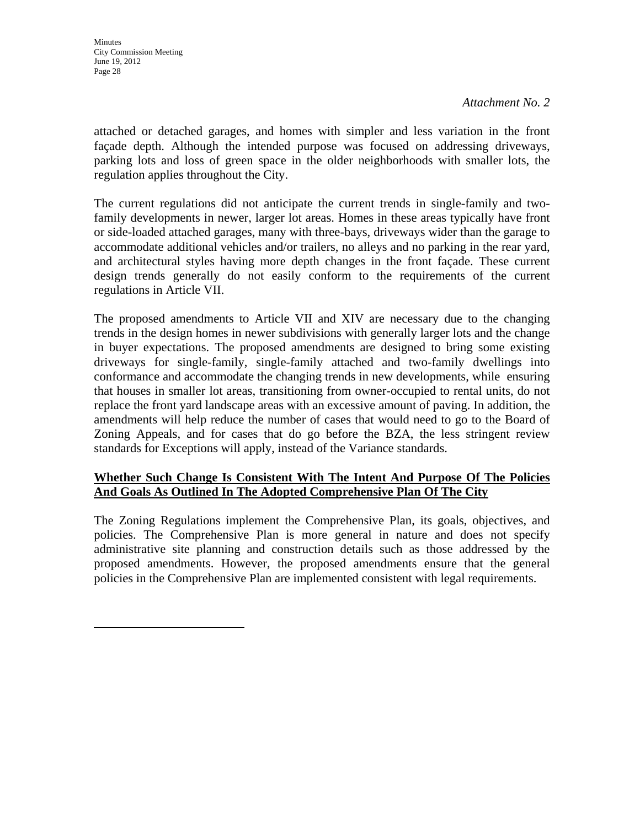attached or detached garages, and homes with simpler and less variation in the front façade depth. Although the intended purpose was focused on addressing driveways, parking lots and loss of green space in the older neighborhoods with smaller lots, the regulation applies throughout the City.

The current regulations did not anticipate the current trends in single-family and twofamily developments in newer, larger lot areas. Homes in these areas typically have front or side-loaded attached garages, many with three-bays, driveways wider than the garage to accommodate additional vehicles and/or trailers, no alleys and no parking in the rear yard, and architectural styles having more depth changes in the front façade. These current design trends generally do not easily conform to the requirements of the current regulations in Article VII.

The proposed amendments to Article VII and XIV are necessary due to the changing trends in the design homes in newer subdivisions with generally larger lots and the change in buyer expectations. The proposed amendments are designed to bring some existing driveways for single-family, single-family attached and two-family dwellings into conformance and accommodate the changing trends in new developments, while ensuring that houses in smaller lot areas, transitioning from owner-occupied to rental units, do not replace the front yard landscape areas with an excessive amount of paving. In addition, the amendments will help reduce the number of cases that would need to go to the Board of Zoning Appeals, and for cases that do go before the BZA, the less stringent review standards for Exceptions will apply, instead of the Variance standards.

### **Whether Such Change Is Consistent With The Intent And Purpose Of The Policies And Goals As Outlined In The Adopted Comprehensive Plan Of The City**

The Zoning Regulations implement the Comprehensive Plan, its goals, objectives, and policies. The Comprehensive Plan is more general in nature and does not specify administrative site planning and construction details such as those addressed by the proposed amendments. However, the proposed amendments ensure that the general policies in the Comprehensive Plan are implemented consistent with legal requirements.